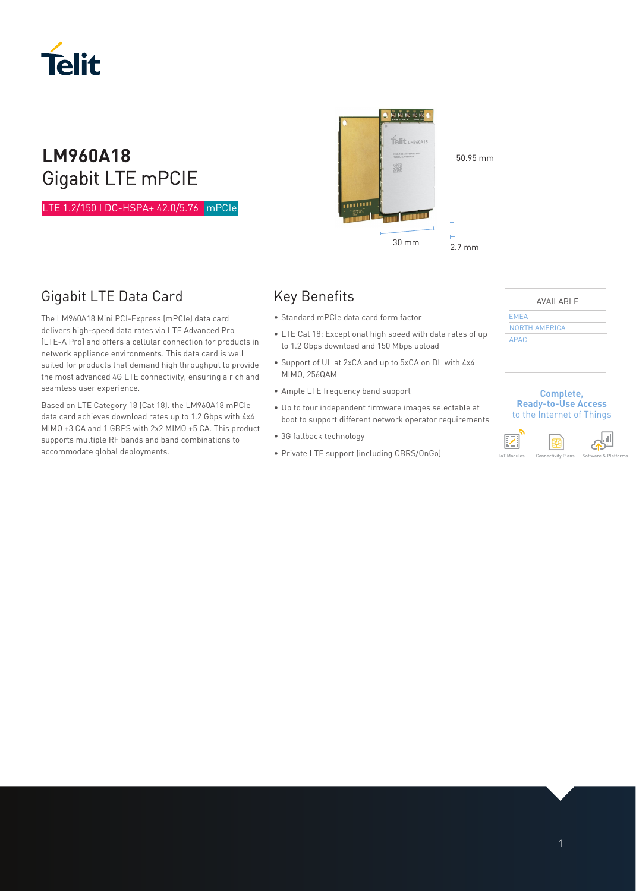

# **LM960A18** Gigabit LTE mPCIE

LTE 1.2/150 I DC-HSPA+ 42.0/5.76 mPCIe mP



The LM960A18 Mini PCI-Express (mPCIe) data card delivers high-speed data rates via LTE Advanced Pro [LTE-A Pro] and offers a cellular connection for products in network appliance environments. This data card is well suited for products that demand high throughput to provide the most advanced 4G LTE connectivity, ensuring a rich and seamless user experience.

Based on LTE Category 18 (Cat 18). the LM960A18 mPCIe data card achieves download rates up to 1.2 Gbps with 4x4 MIMO +3 CA and 1 GBPS with 2x2 MIMO +5 CA. This product supports multiple RF bands and band combinations to accommodate global deployments.

# Key Benefits

- Standard mPCIe data card form factor
- LTE Cat 18: Exceptional high speed with data rates of up to 1.2 Gbps download and 150 Mbps upload

医西茴茴茴

Telit LM960A18 .<br>Neli 12345678901234 ▓

- Support of UL at 2xCA and up to 5xCA on DL with 4x4 MIMO, 256QAM
- Ample LTE frequency band support
- Up to four independent firmware images selectable at boot to support different network operator requirements
- 3G fallback technology
- Private LTE support (including CBRS/OnGo)



50.95 mm

AVAILABLE

EMEA NORTH AMERICA APAC

#### **Complete, Ready-to-Use Access**  to the Internet of Things